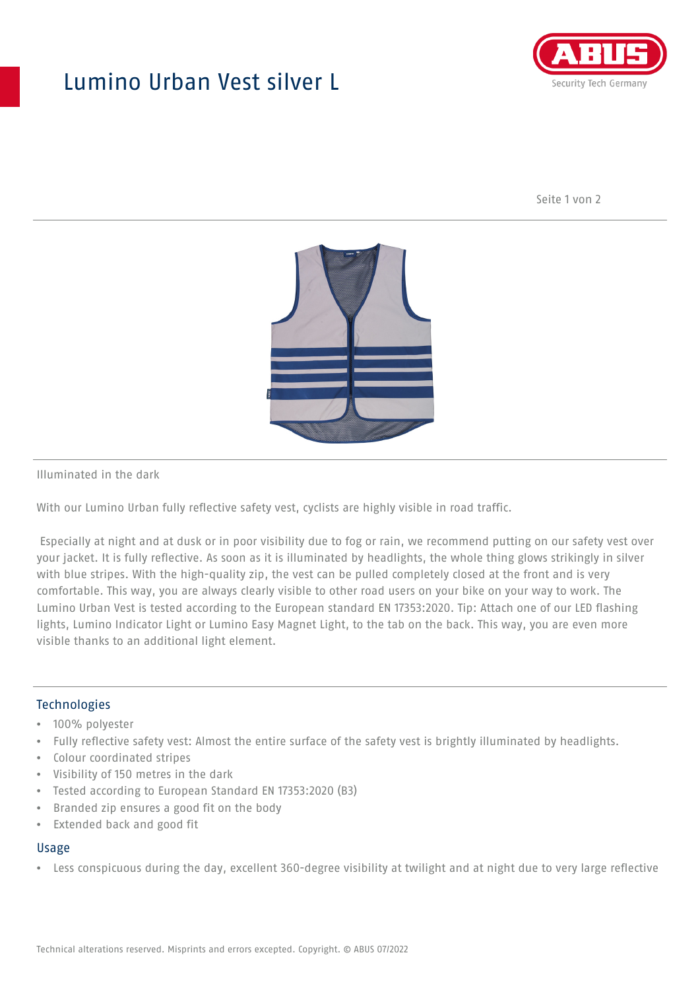## Lumino Urban Vest silver L



Seite 1 von 2



Illuminated in the dark

With our Lumino Urban fully reflective safety vest, cyclists are highly visible in road traffic.

 Especially at night and at dusk or in poor visibility due to fog or rain, we recommend putting on our safety vest over your jacket. It is fully reflective. As soon as it is illuminated by headlights, the whole thing glows strikingly in silver with blue stripes. With the high-quality zip, the vest can be pulled completely closed at the front and is very comfortable. This way, you are always clearly visible to other road users on your bike on your way to work. The Lumino Urban Vest is tested according to the European standard EN 17353:2020. Tip: Attach one of our LED flashing lights, Lumino Indicator Light or Lumino Easy Magnet Light, to the tab on the back. This way, you are even more visible thanks to an additional light element.

### **Technologies**

- 100% polyester
- Fully reflective safety vest: Almost the entire surface of the safety vest is brightly illuminated by headlights.
- Colour coordinated stripes
- Visibility of 150 metres in the dark
- Tested according to European Standard EN 17353:2020 (B3)
- Branded zip ensures a good fit on the body
- Extended back and good fit

### Usage

• Less conspicuous during the day, excellent 360-degree visibility at twilight and at night due to very large reflective